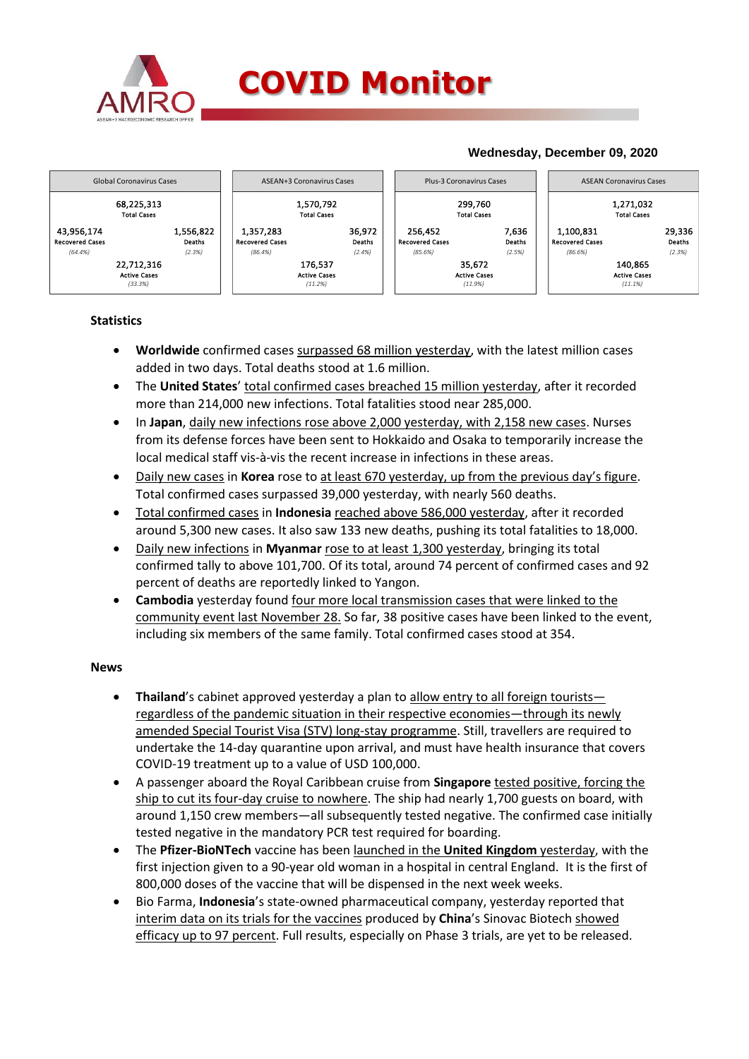

### **COVID Monitor**

### **Wednesday, December 09, 2020**



#### **Statistics**

- **Worldwide** confirmed cases surpassed 68 million yesterday, with the latest million cases added in two days. Total deaths stood at 1.6 million.
- The **United States**' total confirmed cases breached 15 million yesterday, after it recorded more than 214,000 new infections. Total fatalities stood near 285,000.
- In **Japan**, daily new infections rose above 2,000 yesterday, with 2,158 new cases. Nurses from its defense forces have been sent to Hokkaido and Osaka to temporarily increase the local medical staff vis-à-vis the recent increase in infections in these areas.
- Daily new cases in **Korea** rose to at least 670 yesterday, up from the previous day's figure. Total confirmed cases surpassed 39,000 yesterday, with nearly 560 deaths.
- Total confirmed cases in **Indonesia** reached above 586,000 yesterday, after it recorded around 5,300 new cases. It also saw 133 new deaths, pushing its total fatalities to 18,000.
- Daily new infections in **Myanmar** rose to at least 1,300 yesterday, bringing its total confirmed tally to above 101,700. Of its total, around 74 percent of confirmed cases and 92 percent of deaths are reportedly linked to Yangon.
- **Cambodia** yesterday found four more local transmission cases that were linked to the community event last November 28. So far, 38 positive cases have been linked to the event, including six members of the same family. Total confirmed cases stood at 354.

#### **News**

- **•** Thailand's cabinet approved yesterday a plan to allow entry to all foreign tourists regardless of the pandemic situation in their respective economies—through its newly amended Special Tourist Visa (STV) long-stay programme. Still, travellers are required to undertake the 14-day quarantine upon arrival, and must have health insurance that covers COVID-19 treatment up to a value of USD 100,000.
- A passenger aboard the Royal Caribbean cruise from **Singapore** tested positive, forcing the ship to cut its four-day cruise to nowhere. The ship had nearly 1,700 guests on board, with around 1,150 crew members—all subsequently tested negative. The confirmed case initially tested negative in the mandatory PCR test required for boarding.
- The **Pfizer-BioNTech** vaccine has been launched in the **United Kingdom** yesterday, with the first injection given to a 90-year old woman in a hospital in central England. It is the first of 800,000 doses of the vaccine that will be dispensed in the next week weeks.
- Bio Farma, **Indonesia**'s state-owned pharmaceutical company, yesterday reported that interim data on its trials for the vaccines produced by **China**'s Sinovac Biotech showed efficacy up to 97 percent. Full results, especially on Phase 3 trials, are yet to be released.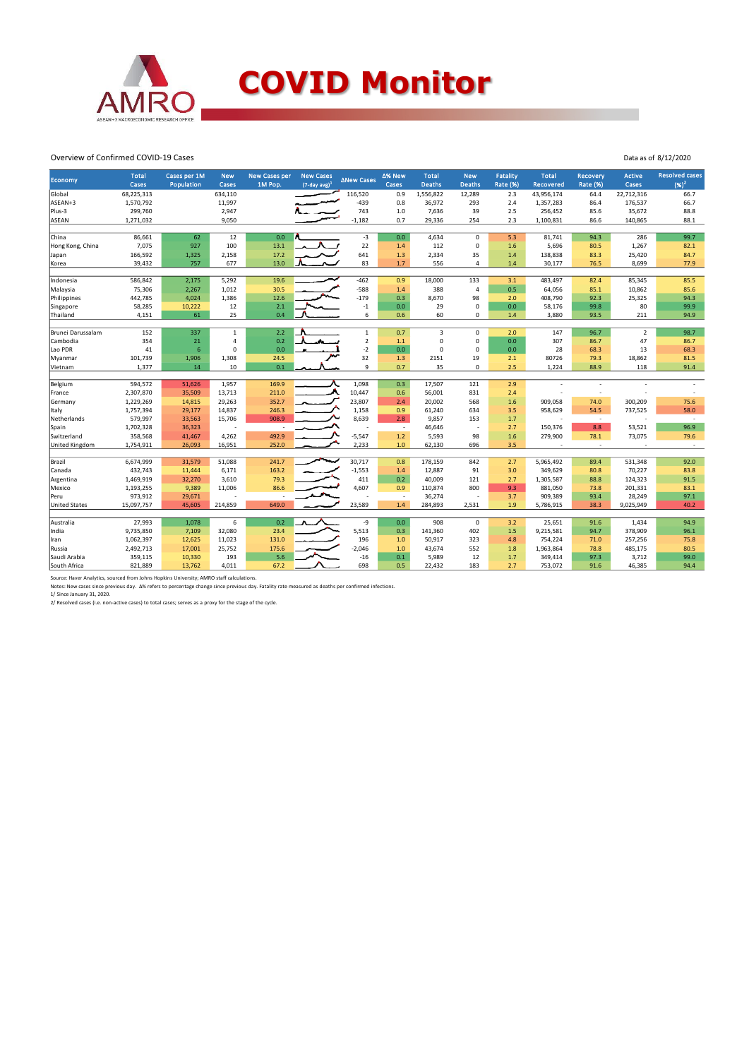

# **COVID Monitor**

Data as of 8/12/2020

#### Overview of Confirmed COVID-19 Cases

| ∆New Cases<br>Economy<br>$(7$ -day avg) <sup>1</sup><br>Cases<br>Cases<br>Population<br>Cases<br>1M Pop.<br><b>Deaths</b><br><b>Deaths</b><br><b>Rate (%)</b><br><b>Rate (%)</b><br>Cases<br>Recovered | $(96)^2$                 |
|--------------------------------------------------------------------------------------------------------------------------------------------------------------------------------------------------------|--------------------------|
|                                                                                                                                                                                                        |                          |
| 22,712,316<br>Global<br>68,225,313<br>634,110<br>116,520<br>0.9<br>1,556,822<br>12,289<br>2.3<br>43,956,174<br>64.4                                                                                    | 66.7                     |
| $-439$<br>ASEAN+3<br>1,570,792<br>11,997<br>0.8<br>36,972<br>293<br>2.4<br>1,357,283<br>86.4                                                                                                           | 176,537<br>66.7          |
| Plus-3<br>299,760<br>2,947<br>743<br>1.0<br>7,636<br>39<br>2.5<br>256,452<br>85.6                                                                                                                      | 88.8<br>35,672           |
| $-1,182$<br>0.7<br>29,336<br>2.3<br>1,100,831<br><b>ASEAN</b><br>1,271,032<br>9,050<br>254<br>86.6                                                                                                     | 140,865<br>88.1          |
|                                                                                                                                                                                                        |                          |
| $-3$<br>0.0<br>62<br>12<br>0.0<br>$\Omega$<br>94.3<br>China<br>86,661<br>4,634<br>5.3<br>81,741                                                                                                        | 286<br>99.7              |
| 22<br>7,075<br>100<br>112<br>5,696<br>Hong Kong, China<br>927<br>13.1<br>$\mathbf 0$<br>1.6<br>80.5<br>1.4                                                                                             | 1,267<br>82.1            |
| 641<br>166,592<br>1,325<br>2,158<br>17.2<br>1.3<br>2,334<br>35<br>138,838<br>83.3<br>1.4<br>Japan                                                                                                      | 25,420<br>84.7           |
| 677<br>83<br>1.7<br>39,432<br>757<br>13.0<br>556<br>30,177<br>76.5<br>$\Delta$<br>1.4<br>Korea                                                                                                         | 8,699<br>77.9            |
|                                                                                                                                                                                                        |                          |
| 2,175<br>5,292<br>19.6<br>$-462$<br>0.9<br>586,842<br>18,000<br>133<br>3.1<br>483,497<br>82.4<br>Indonesia                                                                                             | 85,345<br>85.5           |
| 75,306<br>2,267<br>1,012<br>$-588$<br>1.4<br>388<br>0.5<br>Malaysia<br>30.5<br>$\overline{4}$<br>64,056<br>85.1                                                                                        | 10,862<br>85.6           |
| 442,785<br>12.6<br>$-179$<br>0.3<br>98<br>408,790<br>Philippines<br>4,024<br>1,386<br>8,670<br>2.0<br>92.3                                                                                             | 25,325<br>94.3           |
| 2.1<br>$^{\mbox{-}1}$<br>$\mathbf 0$<br>58,285<br>10,222<br>12<br>0.0<br>29<br>0.0<br>58,176<br>99.8<br>Singapore                                                                                      | 80<br>99.9               |
| 61<br>25<br>0.4<br>6<br>4,151<br>0.6<br>60<br>$\Omega$<br>1.4<br>3,880<br>93.5<br>Thailand                                                                                                             | 211<br>94.9              |
| 337<br>$\mathbf 1$<br>2.2<br>$\mathbf 1$<br>0.7<br>3<br>96.7<br>Brunei Darussalam<br>152<br>$\mathbf 0$<br>2.0<br>147                                                                                  | $\overline{2}$<br>98.7   |
| 354<br>$\overline{2}$<br>21<br>$\overline{4}$<br>0.2<br>0<br>$\mathbf 0$<br>0.0<br>307<br>86.7<br>Cambodia<br>$1.1$                                                                                    | 47<br>86.7               |
| $-2$<br>$6\overline{6}$<br>41<br>0.0<br>0.0<br>$\mathbf 0$<br>$\mathbf 0$<br>0.0<br>28<br>Lao PDR<br>$\Omega$<br>68.3                                                                                  | 13<br>68.3               |
| 32<br>101,739<br>1,308<br>2151<br>19<br>2.1<br>80726<br>24.5<br>1.3<br>79.3                                                                                                                            | 18,862<br>81.5           |
| 1,906<br>Myanmar<br>9<br>2.5<br>1,377<br>14<br>0.1<br>0.7<br>35<br>10<br>$\mathbf 0$<br>1,224<br>88.9                                                                                                  | 118<br>91.4              |
| Vietnam                                                                                                                                                                                                |                          |
| 594,572<br>1,098<br>0.3<br>51,626<br>1,957<br>169.9<br>17,507<br>121<br>2.9<br>Belgium                                                                                                                 |                          |
| л<br>2,307,870<br>35,509<br>13,713<br>10,447<br>56,001<br>831<br>2.4<br>211.0<br>0.6<br>France<br>÷,                                                                                                   |                          |
| 23,807<br>1,229,269<br>29,263<br>2.4<br>20,002<br>568<br>1.6<br>909,058<br>74.0<br>14,815<br>352.7<br>Germany                                                                                          | 300,209<br>75.6          |
| 1,158<br>958,629<br>54.5<br>1,757,394<br>29,177<br>14,837<br>246.3<br>0.9<br>61,240<br>634<br>3.5<br>Italy                                                                                             | 737,525<br>58.0          |
| 579,997<br>908.9<br>8,639<br>2.8<br>Netherlands<br>33,563<br>15,706<br>9,857<br>153<br>1.7<br>$\sim$<br>÷,                                                                                             | $\overline{\phantom{a}}$ |
| 8.8<br>1,702,328<br>36,323<br>46,646<br>2.7<br>150,376<br>Spain<br>$\sim$<br>÷                                                                                                                         | 53,521<br>96.9           |
| 358,568<br>$-5,547$<br>1.2<br>Switzerland<br>41,467<br>4,262<br>492.9<br>5,593<br>98<br>1.6<br>279,900<br>78.1                                                                                         | 73,075<br>79.6           |
| 2,233<br>United Kingdom<br>1,754,911<br>26,093<br>16,951<br>252.0<br>$1.0$<br>62,130<br>696<br>3.5<br>$\sim$                                                                                           | $\sim$                   |
|                                                                                                                                                                                                        |                          |
| 6,674,999<br>30,717<br>Brazil<br>31,579<br>51,088<br>241.7<br>0.8<br>178,159<br>842<br>2.7<br>5,965,492<br>89.4                                                                                        | 531,348<br>92.0          |
| 432,743<br>$-1,553$<br>163.2<br>12,887<br>91<br>3.0<br>349,629<br>80.8<br>Canada<br>11,444<br>6,171<br>1.4                                                                                             | 70,227<br>83.8           |
| 1,469,919<br>32,270<br>3,610<br>79.3<br>411<br>0.2<br>40,009<br>121<br>2.7<br>1,305,587<br>Argentina<br>88.8                                                                                           | 124,323<br>91.5          |
| 1,193,255<br>4,607<br>800<br>9.3<br>881,050<br>9,389<br>11,006<br>86.6<br>0.9<br>110,874<br>73.8<br>Mexico                                                                                             | 201,331<br>83.1          |
| 973,912<br>29,671<br>3.7<br>909,389<br>36,274<br>93.4<br>Peru<br>$\overline{\phantom{a}}$                                                                                                              | 28,249<br>97.1           |
| 23,589<br>649.0<br>1.4<br>1.9<br><b>United States</b><br>15,097,757<br>45,605<br>214,859<br>284,893<br>2,531<br>5,786,915<br>38.3<br>9,025,949                                                         | 40.2                     |
|                                                                                                                                                                                                        |                          |
| 0.2<br>27,993<br>1,078<br>6<br>-9<br>0.0<br>908<br>$\mathbf 0$<br>25,651<br>Australia<br>3.2<br>91.6                                                                                                   | 1,434<br>94.9            |
| 5,513<br>9,735,850<br>7,109<br>32,080<br>23.4<br>0.3<br>141,360<br>402<br>1.5<br>9,215,581<br>94.7<br>India                                                                                            | 378,909<br>96.1          |
| 1,062,397<br>12,625<br>11,023<br>196<br>50,917<br>323<br>754,224<br>131.0<br>1.0<br>4.8<br>71.0<br>Iran                                                                                                | 257,256<br>75.8          |
| 2,492,713<br>$-2,046$<br>17,001<br>25,752<br>175.6<br>1.0<br>43,674<br>552<br>1.8<br>1,963,864<br>78.8<br>Russia                                                                                       | 485,175<br>80.5          |
| 5.6<br>193<br>$-16$<br>0.1<br>12<br>Saudi Arabia<br>359,115<br>10,330<br>5,989<br>1.7<br>349,414<br>97.3                                                                                               | 3,712<br>99.0            |
| 67.2<br>698<br>0.5<br>183<br>South Africa<br>821,889<br>13,762<br>4,011<br>22,432<br>2.7<br>753,072<br>91.6                                                                                            | 46,385<br>94.4           |

Source: Haver Analytics, sourced from Johns Hopkins University; AMRO staff calculations.<br>Notes: New cases since previous day. Δ% refers to percentage change since previous day. Fatality rate measured as deaths per confirm